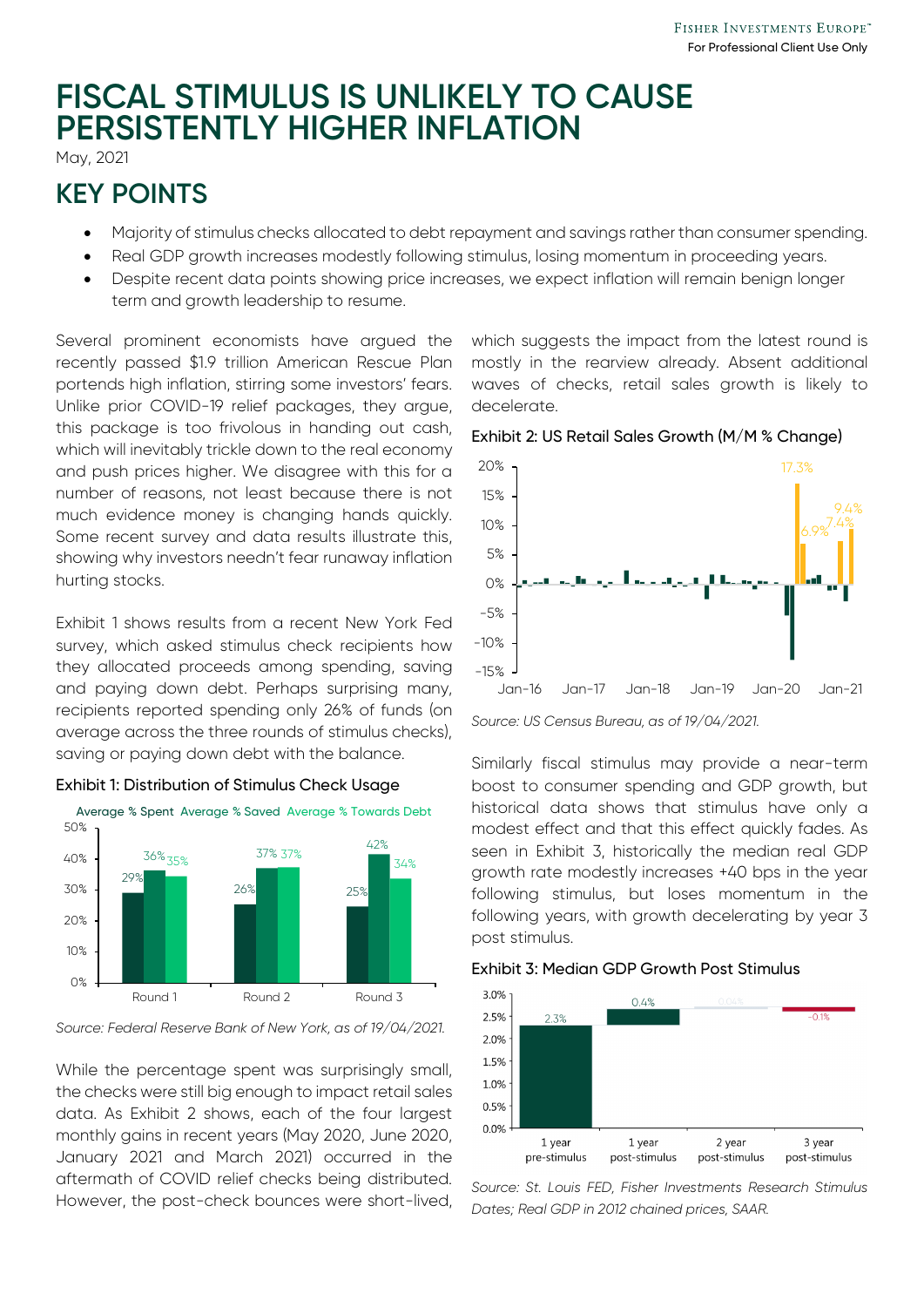# **FISCAL STIMULUS IS UNLIKELY TO CAUSE PERSISTENTLY HIGHER INFLATION**

May, 2021

## **KEY POINTS**

- Majority of stimulus checks allocated to debt repayment and savings rather than consumer spending.
- Real GDP growth increases modestly following stimulus, losing momentum in proceeding years.
- Despite recent data points showing price increases, we expect inflation will remain benign longer term and growth leadership to resume.

Several prominent economists have argued the recently passed \$1.9 trillion American Rescue Plan portends high inflation, stirring some investors' fears. Unlike prior COVID-19 relief packages, they argue, this package is too frivolous in handing out cash, which will inevitably trickle down to the real economy and push prices higher. We disagree with this for a number of reasons, not least because there is not much evidence money is changing hands quickly. Some recent survey and data results illustrate this, showing why investors needn't fear runaway inflation hurting stocks.

Exhibit 1 shows results from a recent New York Fed survey, which asked stimulus check recipients how they allocated proceeds among spending, saving and paying down debt. Perhaps surprising many, recipients reported spending only 26% of funds (on average across the three rounds of stimulus checks), saving or paying down debt with the balance.



#### Exhibit 1: Distribution of Stimulus Check Usage

*Source: Federal Reserve Bank of New York, as of 19/04/2021.*

While the percentage spent was surprisingly small, the checks were still big enough to impact retail sales data. As Exhibit 2 shows, each of the four largest monthly gains in recent years (May 2020, June 2020, January 2021 and March 2021) occurred in the aftermath of COVID relief checks being distributed. However, the post-check bounces were short-lived, which suggests the impact from the latest round is mostly in the rearview already. Absent additional waves of checks, retail sales growth is likely to decelerate.



Exhibit 2: US Retail Sales Growth (M/M % Change)

Similarly fiscal stimulus may provide a near-term boost to consumer spending and GDP growth, but historical data shows that stimulus have only a modest effect and that this effect quickly fades. As seen in Exhibit 3, historically the median real GDP growth rate modestly increases +40 bps in the year following stimulus, but loses momentum in the following years, with growth decelerating by year 3 post stimulus.

### Exhibit 3: Median GDP Growth Post Stimulus



*Source: St. Louis FED, Fisher Investments Research Stimulus Dates; Real GDP in 2012 chained prices, SAAR.*

*Source: US Census Bureau, as of 19/04/2021.*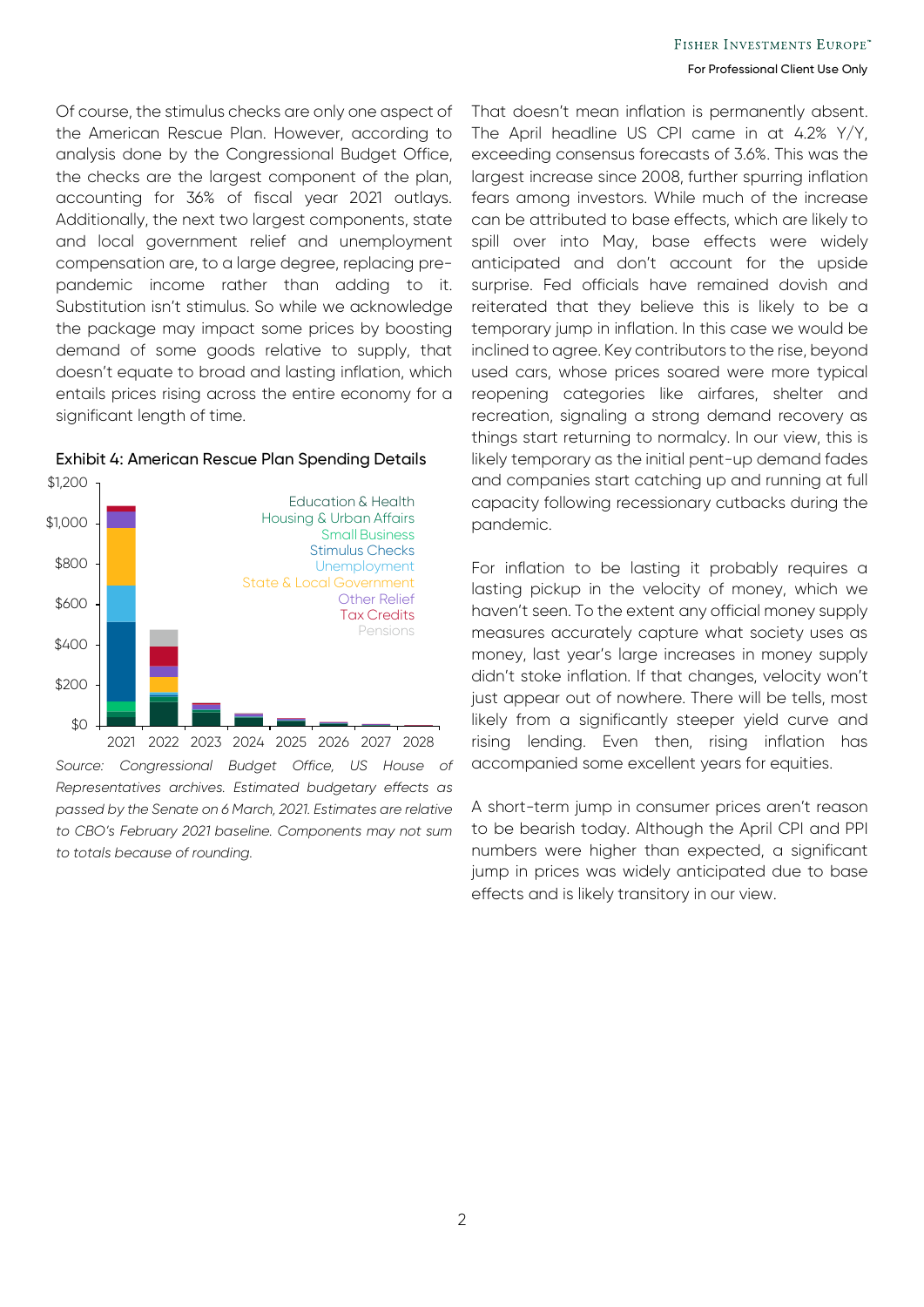Of course, the stimulus checks are only one aspect of the American Rescue Plan. However, according to analysis done by the Congressional Budget Office, the checks are the largest component of the plan, accounting for 36% of fiscal year 2021 outlays. Additionally, the next two largest components, state and local government relief and unemployment compensation are, to a large degree, replacing prepandemic income rather than adding to it. Substitution isn't stimulus. So while we acknowledge the package may impact some prices by boosting demand of some goods relative to supply, that doesn't equate to broad and lasting inflation, which entails prices rising across the entire economy for a significant length of time.



#### Exhibit 4: American Rescue Plan Spending Details

*Source: Congressional Budget Office, US House of Representatives archives. Estimated budgetary effects as passed by the Senate on 6 March, 2021. Estimates are relative to CBO's February 2021 baseline. Components may not sum to totals because of rounding.* 

That doesn't mean inflation is permanently absent. The April headline US CPI came in at 4.2% Y/Y, exceeding consensus forecasts of 3.6%. This was the largest increase since 2008, further spurring inflation fears among investors. While much of the increase can be attributed to base effects, which are likely to spill over into May, base effects were widely anticipated and don't account for the upside surprise. Fed officials have remained dovish and reiterated that they believe this is likely to be a temporary jump in inflation. In this case we would be inclined to agree. Key contributors to the rise, beyond used cars, whose prices soared were more typical reopening categories like airfares, shelter and recreation, signaling a strong demand recovery as things start returning to normalcy. In our view, this is likely temporary as the initial pent-up demand fades and companies start catching up and running at full capacity following recessionary cutbacks during the pandemic.

For inflation to be lasting it probably requires a lasting pickup in the velocity of money, which we haven't seen. To the extent any official money supply measures accurately capture what society uses as money, last year's large increases in money supply didn't stoke inflation. If that changes, velocity won't just appear out of nowhere. There will be tells, most likely from a significantly steeper yield curve and rising lending. Even then, rising inflation has accompanied some excellent years for equities.

A short-term jump in consumer prices aren't reason to be bearish today. Although the April CPI and PPI numbers were higher than expected, a significant jump in prices was widely anticipated due to base effects and is likely transitory in our view.